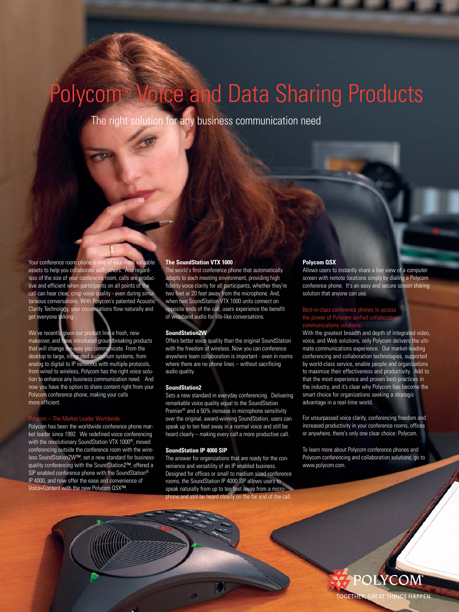# Polycom® Voice and Data Sharing Products

The right solution for any business communication need

Your conference room phone is one of your most valuable assets to help you collaborate with others. And regardless of the size of your conference room, calls are productive and efficient when participants on all points of the call can hear clear, crisp voice quality - even during simultaneous conversations. With Polycom's patented Acoustic Clarity Technology, your conversations flow naturally and get everyone talking.

We've recently given our product line a fresh, new makeover, and have introduced groundbreaking products that will change the way you communicate. From the desktop to large, integrated auditorium systems, from analog to digital to IP networks with multiple protocols, from wired to wireless, Polycom has the right voice solution to enhance any business communication need. And now you have the option to share content right from your Polycom conference phone, making your calls more efficient.

Polycom has been the worldwide conference phone market leader since 1992. We redefined voice conferencing with the revolutionary SoundStation VTX 1000®, moved conferencing outside the conference room with the wireless SoundStation2W™, set a new standard for businessquality conferencing with the SoundStation2™, offered a SIP enabled conference phone with the SoundStation® IP 4000, and now offer the ease and convenience of Voice+Content with the new Polycom QSX™.

#### **The SoundStation VTX 1000**

The world's first conference phone that automatically adapts to each meeting environment, providing high fidelity voice clarity for all participants, whether they're two feet or 20 feet away from the microphone. And, when two SoundStation VTX 1000 units connect on opposite ends of the call, users experience the benefit of wideband audio for life-like conversations.

## **SoundStation2W**

Offers better voice quality than the original SoundStation with the freedom of wireless. Now you can conference anywhere team collaboration is important - even in rooms where there are no phone lines – without sacrificing audio quality.

### **SoundStation2**

Sets a new standard in everyday conferencing. Delivering remarkable voice quality equal to the SoundStation Premier® and a 50% increase in microphone sensitivity over the original, award-winning SoundStation, users can speak up to ten feet away in a normal voice and still be heard clearly – making every call a more productive call.

# **SoundStation IP 4000 SIP**

The answer for organizations that are ready for the convenience and versatility of an IP enabled business. Designed for offices or small to medium sized conference rooms, the SoundStation IP 4000 SIP allows users to speak naturally from up to ten feet away from a microand still be heard clearly on the far end of the call.

#### **Polycom QSX**

Allows users to instantly share a live view of a computer screen with remote locations simply by dialing a Polycom conference phone. It's an easy and secure screen sharing solution that anyone can use.

# Best-in-class conference phones to access the power of Polycom unified collaborative

With the greatest breadth and depth of integrated video, voice, and Web solutions, only Polycom delivers the ultimate communications experience. Our market-leading conferencing and collaboration technologies, supported by world-class service, enable people and organizations to maximize their effectiveness and productivity. Add to that the most experience and proven best-practices in the industry, and it's clear why Polycom has become the smart choice for organizations seeking a strategic advantage in a real-time world.

For unsurpassed voice clarity, conferencing freedom and increased productivity in your conference rooms, offices or anywhere, there's only one clear choice: Polycom.

To learn more about Polycom conference phones and Polycom conferencing and collaboration solutions, go to www.polycom.com.

**TOGETHER** 

GREAT THINGS HAPPEN.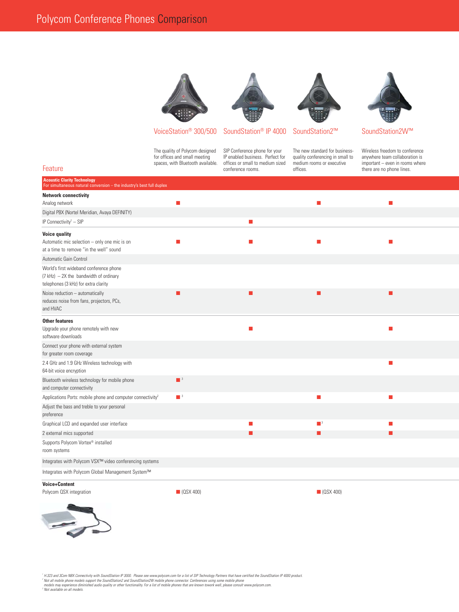





VoiceStation<sup>®</sup> 300/500 SoundStation<sup>®</sup> IP 4000 SoundStation2<sup>™</sup> SoundStation2W<sup>™</sup>

spaces, with Bluetooth available. offices or small to medium sized medium<br>conference rooms. or executive important executive important executive important executive in rooms.

The quality of Polycom designed SIP Conference phone for your The new standard for business- Wireless freedom to conference<br>for offices and small meeting IP enabled business. Perfect for quality conferencing in small to an IP enabled business. Perfect for quality conferencing in small to anywhere team collaboration is offices or small to medium sized medium rooms or executive important – even in rooms where Feature conference rooms. Conference rooms. Conference rooms. Conference rooms. Conference rooms. There are no phone lines.

| <b>Acoustic Clarity Technology</b><br>For simultaneous natural conversion - the industry's best full duplex |                             |            |                             |   |
|-------------------------------------------------------------------------------------------------------------|-----------------------------|------------|-----------------------------|---|
| <b>Network connectivity</b>                                                                                 |                             |            |                             |   |
| Analog network                                                                                              | $\blacksquare$              |            | П                           | П |
| Digital PBX (Nortel Meridian, Avaya DEFINITY)                                                               |                             |            |                             |   |
| IP Connectivity <sup>1</sup> - SIP                                                                          |                             | П          |                             |   |
| <b>Voice quality</b>                                                                                        |                             |            |                             |   |
| Automatic mic selection - only one mic is on                                                                |                             | <b>COL</b> | −                           | ш |
| at a time to remove "in the well" sound                                                                     |                             |            |                             |   |
| Automatic Gain Control                                                                                      |                             |            |                             |   |
| World's first wideband conference phone                                                                     |                             |            |                             |   |
| $(7 kHz) - 2X$ the bandwidth of ordinary<br>telephones (3 kHz) for extra clarity                            |                             |            |                             |   |
| Noise reduction - automatically                                                                             | П                           | П          |                             | П |
| reduces noise from fans, projectors, PCs,                                                                   |                             |            |                             |   |
| and HVAC                                                                                                    |                             |            |                             |   |
| <b>Other features</b>                                                                                       |                             |            |                             |   |
| Upgrade your phone remotely with new                                                                        |                             | п          |                             | п |
| software downloads                                                                                          |                             |            |                             |   |
| Connect your phone with external system                                                                     |                             |            |                             |   |
| for greater room coverage                                                                                   |                             |            |                             |   |
| 2.4 GHz and 1.9 GHz Wireless technology with<br>64-bit voice encryption                                     |                             |            |                             | п |
| Bluetooth wireless technology for mobile phone                                                              | $\blacksquare$ <sup>3</sup> |            |                             |   |
| and computer connectivity                                                                                   |                             |            |                             |   |
| Applications Ports: mobile phone and computer connectivity <sup>2</sup>                                     | $\blacksquare$ <sup>3</sup> |            |                             | П |
| Adjust the bass and treble to your personal                                                                 |                             |            |                             |   |
| preference                                                                                                  |                             |            |                             |   |
| Graphical LCD and expanded user interface                                                                   |                             | П          | $\blacksquare$ <sup>3</sup> | П |
| 2 external mics supported                                                                                   |                             | г          |                             | г |
| Supports Polycom Vortex <sup>®</sup> installed                                                              |                             |            |                             |   |
| room systems                                                                                                |                             |            |                             |   |
| Integrates with Polycom VSX™ video conferencing systems                                                     |                             |            |                             |   |
| Integrates with Polycom Global Management System™                                                           |                             |            |                             |   |
| <b>Voice+Content</b>                                                                                        |                             |            |                             |   |
| Polycom QSX integration                                                                                     | $\Box$ (QSX 400)            |            | $\Box$ (QSX 400)            |   |
|                                                                                                             |                             |            |                             |   |



<sup>1</sup> H.323 and 3Com NBX Connectivity with SoundStation IP 3000. Please see www.polycom.com for a list of SIP Technology Partners that have certified the SoundStation IP 4000 product.<br>- Not all mobile phone models support th